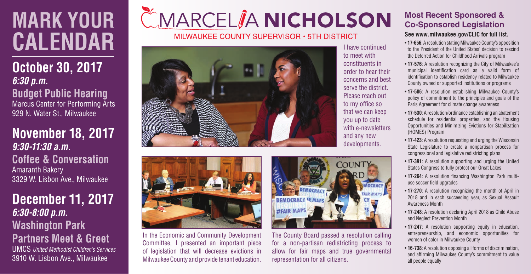# **MARK YOUR CALENDAR**

**October 30, 2017** *6:30 p.m.* **Budget Public Hearing** Marcus Center for Performing Arts 929 N. Water St., Milwaukee

**November 18, 2017** *9:30-11:30 a.m.* **Coffee & Conversation** Amaranth Bakery 3329 W. Lisbon Ave., Milwaukee

**December 11, 2017** *6:30-8:00 p.m.* **Washington Park Partners Meet & Greet**

UMCS *United Methodist Children's Services* 3910 W. Lisbon Ave., Milwaukee

# CMARCELIA NICHOLSON

MILWAUKEE COUNTY SUPERVISOR . 5TH DISTRICT





In the Economic and Community Development Committee, I presented an important piece of legislation that will decrease evictions in Milwaukee County and provide tenant education.



The County Board passed a resolution calling for a non-partisan redistricting process to allow for fair maps and true governmental representation for all citizens.

## **Most Recent Sponsored & Co-Sponsored Legislation**

#### **See www.milwaukee.gov/CLIC for full list.**

- **17-656**: A resolution stating Milwaukee County's opposition to the President of the United States' decision to rescind the Deferred Action for Childhood Arrivals program
- **17-576**: A resolution recognizing the City of Milwaukee's municipal identification card as a valid form of identification to establish residency related to Milwaukee County owned or supported institutions or programs
- **17-506**: A resolution establishing Milwaukee County's policy of commitment to the principles and goals of the Paris Agreement for climate change awareness
- **17-530**: A resolution/ordinance establishing an abatement schedule for residential properties, and the Housing Opportunities and Minimizing Evictions for Stabilization (HOMES) Program
- **17-423**: A resolution requesting and urging the Wisconsin State Legislature to create a nonpartisan process for congressional and legislative redistricting plans
- **17-391**: A resolution supporting and urging the United States Congress to fully protect our Great Lakes
- **17-264**: A resolution financing Washington Park multiuse soccer field upgrades
- **17-270**: A resolution recognizing the month of April in 2018 and in each succeeding year, as Sexual Assault Awareness Month
- **17-248**: A resolution declaring April 2018 as Child Abuse and Neglect Prevention Month
- **17-247**: A resolution supporting equity in education, entrepreneurship, and economic opportunities for women of color in Milwaukee County
- **16-738**: A resolution opposing all forms of discrimination, and affirming Milwaukee County's commitment to value all people equally